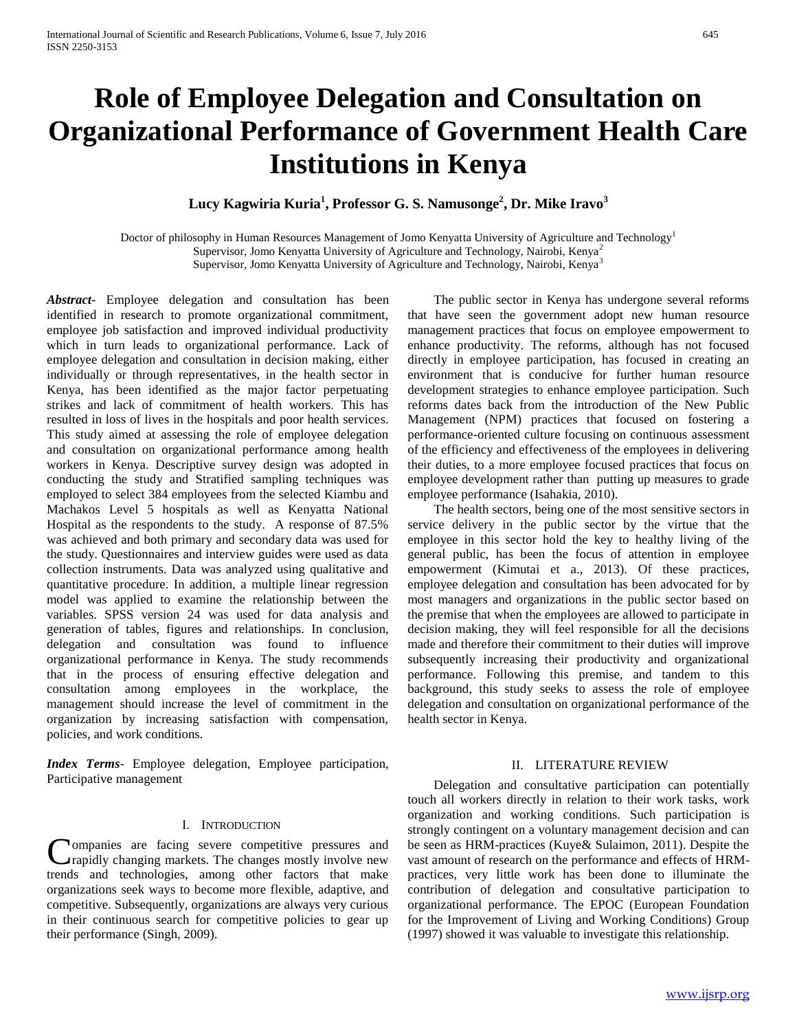# **Role of Employee Delegation and Consultation on Organizational Performance of Government Health Care Institutions in Kenya**

**Lucy Kagwiria Kuria<sup>1</sup> , Professor G. S. Namusonge<sup>2</sup> , Dr. Mike Iravo<sup>3</sup>**

Doctor of philosophy in Human Resources Management of Jomo Kenyatta University of Agriculture and Technology<sup>1</sup> Supervisor, Jomo Kenyatta University of Agriculture and Technology, Nairobi, Kenya<sup>2</sup> Supervisor, Jomo Kenyatta University of Agriculture and Technology, Nairobi, Kenya<sup>3</sup>

*Abstract***-** Employee delegation and consultation has been identified in research to promote organizational commitment, employee job satisfaction and improved individual productivity which in turn leads to organizational performance. Lack of employee delegation and consultation in decision making, either individually or through representatives, in the health sector in Kenya, has been identified as the major factor perpetuating strikes and lack of commitment of health workers. This has resulted in loss of lives in the hospitals and poor health services. This study aimed at assessing the role of employee delegation and consultation on organizational performance among health workers in Kenya. Descriptive survey design was adopted in conducting the study and Stratified sampling techniques was employed to select 384 employees from the selected Kiambu and Machakos Level 5 hospitals as well as Kenyatta National Hospital as the respondents to the study. A response of 87.5% was achieved and both primary and secondary data was used for the study. Questionnaires and interview guides were used as data collection instruments. Data was analyzed using qualitative and quantitative procedure. In addition, a multiple linear regression model was applied to examine the relationship between the variables. SPSS version 24 was used for data analysis and generation of tables, figures and relationships. In conclusion, delegation and consultation was found to influence organizational performance in Kenya. The study recommends that in the process of ensuring effective delegation and consultation among employees in the workplace, the management should increase the level of commitment in the organization by increasing satisfaction with compensation, policies, and work conditions.

*Index Terms*- Employee delegation, Employee participation, Participative management

#### I. INTRODUCTION

ompanies are facing severe competitive pressures and rapidly changing markets. The changes mostly involve new **C**ompanies are facing severe competitive pressures and rapidly changing markets. The changes mostly involve new trends and technologies, among other factors that make organizations seek ways to become more flexible, adaptive, and competitive. Subsequently, organizations are always very curious in their continuous search for competitive policies to gear up their performance (Singh, 2009).

 The public sector in Kenya has undergone several reforms that have seen the government adopt new human resource management practices that focus on employee empowerment to enhance productivity. The reforms, although has not focused directly in employee participation, has focused in creating an environment that is conducive for further human resource development strategies to enhance employee participation. Such reforms dates back from the introduction of the New Public Management (NPM) practices that focused on fostering a performance-oriented culture focusing on continuous assessment of the efficiency and effectiveness of the employees in delivering their duties, to a more employee focused practices that focus on employee development rather than putting up measures to grade employee performance (Isahakia, 2010).

 The health sectors, being one of the most sensitive sectors in service delivery in the public sector by the virtue that the employee in this sector hold the key to healthy living of the general public, has been the focus of attention in employee empowerment (Kimutai et a., 2013). Of these practices, employee delegation and consultation has been advocated for by most managers and organizations in the public sector based on the premise that when the employees are allowed to participate in decision making, they will feel responsible for all the decisions made and therefore their commitment to their duties will improve subsequently increasing their productivity and organizational performance. Following this premise, and tandem to this background, this study seeks to assess the role of employee delegation and consultation on organizational performance of the health sector in Kenya.

#### II. LITERATURE REVIEW

 Delegation and consultative participation can potentially touch all workers directly in relation to their work tasks, work organization and working conditions. Such participation is strongly contingent on a voluntary management decision and can be seen as HRM-practices (Kuye& Sulaimon, 2011). Despite the vast amount of research on the performance and effects of HRMpractices, very little work has been done to illuminate the contribution of delegation and consultative participation to organizational performance. The EPOC (European Foundation for the Improvement of Living and Working Conditions) Group (1997) showed it was valuable to investigate this relationship.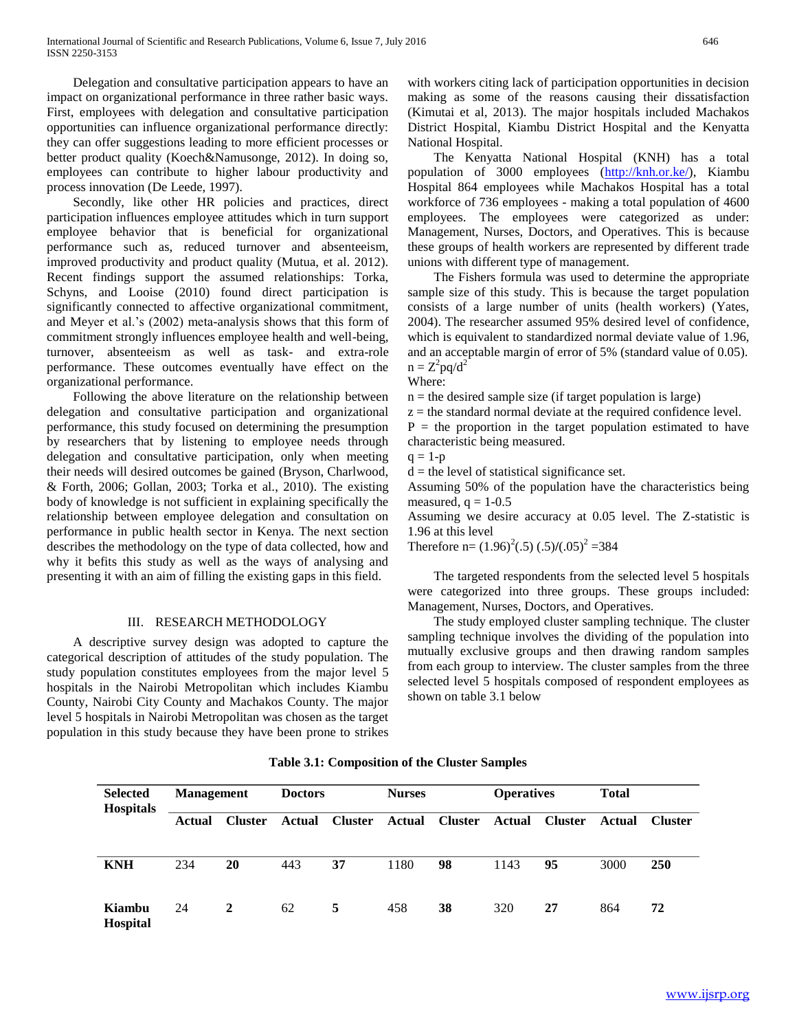Delegation and consultative participation appears to have an impact on organizational performance in three rather basic ways. First, employees with delegation and consultative participation opportunities can influence organizational performance directly: they can offer suggestions leading to more efficient processes or better product quality (Koech&Namusonge, 2012). In doing so, employees can contribute to higher labour productivity and process innovation (De Leede, 1997).

 Secondly, like other HR policies and practices, direct participation influences employee attitudes which in turn support employee behavior that is beneficial for organizational performance such as, reduced turnover and absenteeism, improved productivity and product quality (Mutua, et al. 2012). Recent findings support the assumed relationships: Torka, Schyns, and Looise (2010) found direct participation is significantly connected to affective organizational commitment, and Meyer et al.'s (2002) meta-analysis shows that this form of commitment strongly influences employee health and well-being, turnover, absenteeism as well as task- and extra-role performance. These outcomes eventually have effect on the organizational performance.

 Following the above literature on the relationship between delegation and consultative participation and organizational performance, this study focused on determining the presumption by researchers that by listening to employee needs through delegation and consultative participation, only when meeting their needs will desired outcomes be gained (Bryson, Charlwood, & Forth, 2006; Gollan, 2003; Torka et al., 2010). The existing body of knowledge is not sufficient in explaining specifically the relationship between employee delegation and consultation on performance in public health sector in Kenya. The next section describes the methodology on the type of data collected, how and why it befits this study as well as the ways of analysing and presenting it with an aim of filling the existing gaps in this field.

# III. RESEARCH METHODOLOGY

 A descriptive survey design was adopted to capture the categorical description of attitudes of the study population. The study population constitutes employees from the major level 5 hospitals in the Nairobi Metropolitan which includes Kiambu County, Nairobi City County and Machakos County. The major level 5 hospitals in Nairobi Metropolitan was chosen as the target population in this study because they have been prone to strikes

with workers citing lack of participation opportunities in decision making as some of the reasons causing their dissatisfaction (Kimutai et al, 2013). The major hospitals included Machakos District Hospital, Kiambu District Hospital and the Kenyatta National Hospital.

 The Kenyatta National Hospital (KNH) has a total population of 3000 employees [\(http://knh.or.ke/\)](http://knh.or.ke/), Kiambu Hospital 864 employees while Machakos Hospital has a total workforce of 736 employees - making a total population of 4600 employees. The employees were categorized as under: Management, Nurses, Doctors, and Operatives. This is because these groups of health workers are represented by different trade unions with different type of management.

 The Fishers formula was used to determine the appropriate sample size of this study. This is because the target population consists of a large number of units (health workers) (Yates, 2004). The researcher assumed 95% desired level of confidence, which is equivalent to standardized normal deviate value of 1.96, and an acceptable margin of error of 5% (standard value of 0.05).  $n = Z^2 pq/d^2$ 

Where:

 $n =$  the desired sample size (if target population is large)

 $z =$  the standard normal deviate at the required confidence level.

 $P =$  the proportion in the target population estimated to have characteristic being measured.

 $q = 1-p$ 

 $d =$  the level of statistical significance set.

Assuming 50% of the population have the characteristics being measured,  $q = 1-0.5$ 

Assuming we desire accuracy at 0.05 level. The Z-statistic is 1.96 at this level

Therefore  $n = (1.96)^2(.5) (.5)/(.05)^2 = 384$ 

 The targeted respondents from the selected level 5 hospitals were categorized into three groups. These groups included: Management, Nurses, Doctors, and Operatives.

 The study employed cluster sampling technique. The cluster sampling technique involves the dividing of the population into mutually exclusive groups and then drawing random samples from each group to interview. The cluster samples from the three selected level 5 hospitals composed of respondent employees as shown on table 3.1 below

| <b>Selected</b><br><b>Hospitals</b> | <b>Management</b> |                | <b>Doctors</b> |                | <b>Nurses</b> |                | <b>Operatives</b> |                | <b>Total</b> |                |
|-------------------------------------|-------------------|----------------|----------------|----------------|---------------|----------------|-------------------|----------------|--------------|----------------|
|                                     | Actual            | <b>Cluster</b> | Actual         | <b>Cluster</b> | Actual        | <b>Cluster</b> | Actual            | <b>Cluster</b> | Actual       | <b>Cluster</b> |
| <b>KNH</b>                          | 234               | 20             | 443            | 37             | 1180          | 98             | 1143              | 95             | 3000         | <b>250</b>     |
| Kiambu<br><b>Hospital</b>           | 24                | 2              | 62             | 5              | 458           | 38             | 320               | 27             | 864          | 72             |

**Table 3.1: Composition of the Cluster Samples**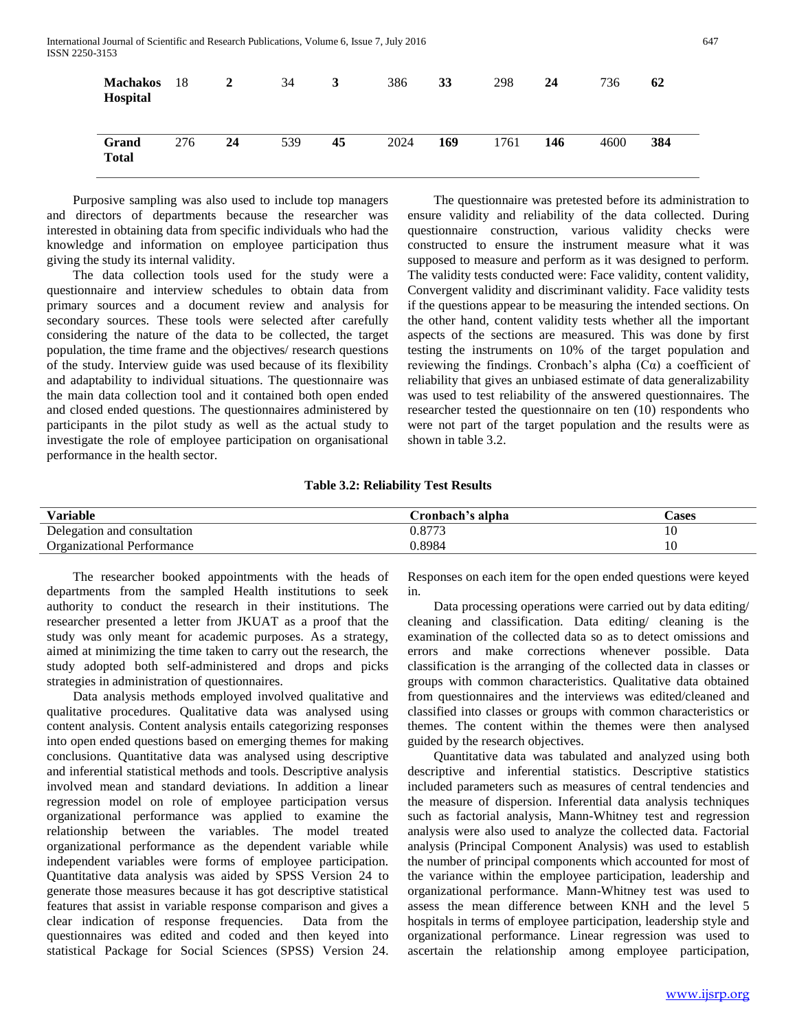| <b>Machakos</b><br>Hospital | -18 | 2  | 34  | 3  | 386  | 33  | 298  | 24  | 736  | 62  |
|-----------------------------|-----|----|-----|----|------|-----|------|-----|------|-----|
| Grand<br><b>Total</b>       | 276 | 24 | 539 | 45 | 2024 | 169 | 1761 | 146 | 4600 | 384 |

 Purposive sampling was also used to include top managers and directors of departments because the researcher was interested in obtaining data from specific individuals who had the knowledge and information on employee participation thus giving the study its internal validity.

 The data collection tools used for the study were a questionnaire and interview schedules to obtain data from primary sources and a document review and analysis for secondary sources. These tools were selected after carefully considering the nature of the data to be collected, the target population, the time frame and the objectives/ research questions of the study. Interview guide was used because of its flexibility and adaptability to individual situations. The questionnaire was the main data collection tool and it contained both open ended and closed ended questions. The questionnaires administered by participants in the pilot study as well as the actual study to investigate the role of employee participation on organisational performance in the health sector.

 The questionnaire was pretested before its administration to ensure validity and reliability of the data collected. During questionnaire construction, various validity checks were constructed to ensure the instrument measure what it was supposed to measure and perform as it was designed to perform. The validity tests conducted were: Face validity, content validity, Convergent validity and discriminant validity. Face validity tests if the questions appear to be measuring the intended sections. On the other hand, content validity tests whether all the important aspects of the sections are measured. This was done by first testing the instruments on 10% of the target population and reviewing the findings. Cronbach's alpha (Cα) a coefficient of reliability that gives an unbiased estimate of data generalizability was used to test reliability of the answered questionnaires. The researcher tested the questionnaire on ten (10) respondents who were not part of the target population and the results were as shown in table 3.2.

#### **Table 3.2: Reliability Test Results**

| Variable                          | Cronbach's alpha | Cases |
|-----------------------------------|------------------|-------|
| Delegation and consultation       | 0.8773           | 10    |
| <b>Organizational Performance</b> | ).8984           | 10    |

 The researcher booked appointments with the heads of departments from the sampled Health institutions to seek authority to conduct the research in their institutions. The researcher presented a letter from JKUAT as a proof that the study was only meant for academic purposes. As a strategy, aimed at minimizing the time taken to carry out the research, the study adopted both self-administered and drops and picks strategies in administration of questionnaires.

 Data analysis methods employed involved qualitative and qualitative procedures. Qualitative data was analysed using content analysis. Content analysis entails categorizing responses into open ended questions based on emerging themes for making conclusions. Quantitative data was analysed using descriptive and inferential statistical methods and tools. Descriptive analysis involved mean and standard deviations. In addition a linear regression model on role of employee participation versus organizational performance was applied to examine the relationship between the variables. The model treated organizational performance as the dependent variable while independent variables were forms of employee participation. Quantitative data analysis was aided by SPSS Version 24 to generate those measures because it has got descriptive statistical features that assist in variable response comparison and gives a clear indication of response frequencies. Data from the questionnaires was edited and coded and then keyed into statistical Package for Social Sciences (SPSS) Version 24. Responses on each item for the open ended questions were keyed in.

 Data processing operations were carried out by data editing/ cleaning and classification. Data editing/ cleaning is the examination of the collected data so as to detect omissions and errors and make corrections whenever possible. Data classification is the arranging of the collected data in classes or groups with common characteristics. Qualitative data obtained from questionnaires and the interviews was edited/cleaned and classified into classes or groups with common characteristics or themes. The content within the themes were then analysed guided by the research objectives.

 Quantitative data was tabulated and analyzed using both descriptive and inferential statistics. Descriptive statistics included parameters such as measures of central tendencies and the measure of dispersion. Inferential data analysis techniques such as factorial analysis, Mann-Whitney test and regression analysis were also used to analyze the collected data. Factorial analysis (Principal Component Analysis) was used to establish the number of principal components which accounted for most of the variance within the employee participation, leadership and organizational performance. Mann-Whitney test was used to assess the mean difference between KNH and the level 5 hospitals in terms of employee participation, leadership style and organizational performance. Linear regression was used to ascertain the relationship among employee participation,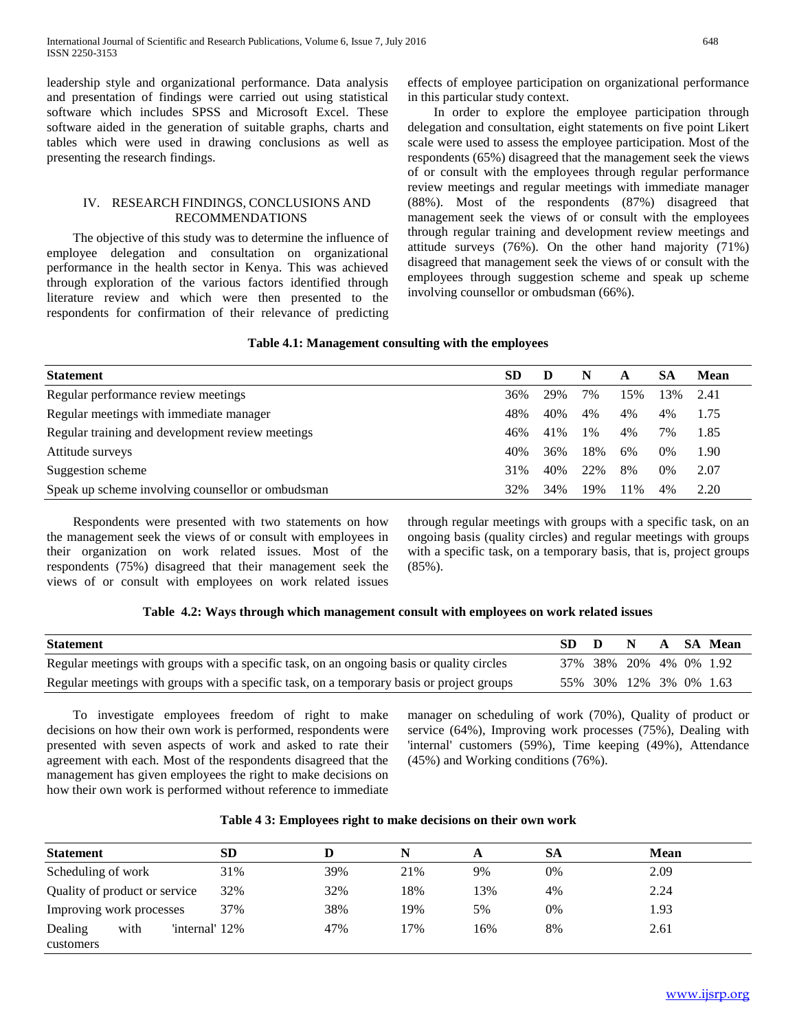leadership style and organizational performance. Data analysis and presentation of findings were carried out using statistical software which includes SPSS and Microsoft Excel. These software aided in the generation of suitable graphs, charts and tables which were used in drawing conclusions as well as presenting the research findings.

### IV. RESEARCH FINDINGS, CONCLUSIONS AND RECOMMENDATIONS

 The objective of this study was to determine the influence of employee delegation and consultation on organizational performance in the health sector in Kenya. This was achieved through exploration of the various factors identified through literature review and which were then presented to the respondents for confirmation of their relevance of predicting effects of employee participation on organizational performance in this particular study context.

 In order to explore the employee participation through delegation and consultation, eight statements on five point Likert scale were used to assess the employee participation. Most of the respondents (65%) disagreed that the management seek the views of or consult with the employees through regular performance review meetings and regular meetings with immediate manager (88%). Most of the respondents (87%) disagreed that management seek the views of or consult with the employees through regular training and development review meetings and attitude surveys (76%). On the other hand majority (71%) disagreed that management seek the views of or consult with the employees through suggestion scheme and speak up scheme involving counsellor or ombudsman (66%).

#### **Table 4.1: Management consulting with the employees**

| <b>Statement</b>                                  | <b>SD</b> | D   | N     | A   | SА    | <b>Mean</b> |
|---------------------------------------------------|-----------|-----|-------|-----|-------|-------------|
| Regular performance review meetings               | 36%       | 29% | 7%    | 15% | 3%    | 2.41        |
| Regular meetings with immediate manager           | 48%       | 40% | 4%    | 4%  | 4%    | 1.75        |
| Regular training and development review meetings  | 46%       | 41% | $1\%$ | 4%  | 7%    | 1.85        |
| Attitude surveys                                  | 40%       | 36% | 18%   | 6%  | 0%    | 1.90        |
| Suggestion scheme                                 | 31%       | 40% | 22%   | 8%  | $0\%$ | 2.07        |
| Speak up scheme involving counsellor or ombudsman | 32%       | 34% | 19%   | 11% | 4%    | 2.20        |

 Respondents were presented with two statements on how the management seek the views of or consult with employees in their organization on work related issues. Most of the respondents (75%) disagreed that their management seek the views of or consult with employees on work related issues through regular meetings with groups with a specific task, on an ongoing basis (quality circles) and regular meetings with groups with a specific task, on a temporary basis, that is, project groups (85%).

## **Table 4.2: Ways through which management consult with employees on work related issues**

| <b>Statement</b>                                                                          | SD D |                             | N |  | A SA Mean |
|-------------------------------------------------------------------------------------------|------|-----------------------------|---|--|-----------|
| Regular meetings with groups with a specific task, on an ongoing basis or quality circles |      | 37\% 38\% 20\% 4\% 0\% 1.92 |   |  |           |
| Regular meetings with groups with a specific task, on a temporary basis or project groups |      | 55\% 30\% 12\% 3\% 0\% 1.63 |   |  |           |

 To investigate employees freedom of right to make decisions on how their own work is performed, respondents were presented with seven aspects of work and asked to rate their agreement with each. Most of the respondents disagreed that the management has given employees the right to make decisions on how their own work is performed without reference to immediate

manager on scheduling of work (70%), Quality of product or service (64%), Improving work processes (75%), Dealing with 'internal' customers (59%), Time keeping (49%), Attendance (45%) and Working conditions (76%).

### **Table 4 3: Employees right to make decisions on their own work**

| <b>Statement</b>              |      |                | <b>SD</b> |     |     | A   | SА | <b>Mean</b> |
|-------------------------------|------|----------------|-----------|-----|-----|-----|----|-------------|
| Scheduling of work            |      |                | 31%       | 39% | 21% | 9%  | 0% | 2.09        |
| Quality of product or service |      |                | 32%       | 32% | 18% | 13% | 4% | 2.24        |
| Improving work processes      |      |                | 37%       | 38% | 19% | 5%  | 0% | 1.93        |
| Dealing<br>customers          | with | 'internal' 12% |           | 47% | 17% | 16% | 8% | 2.61        |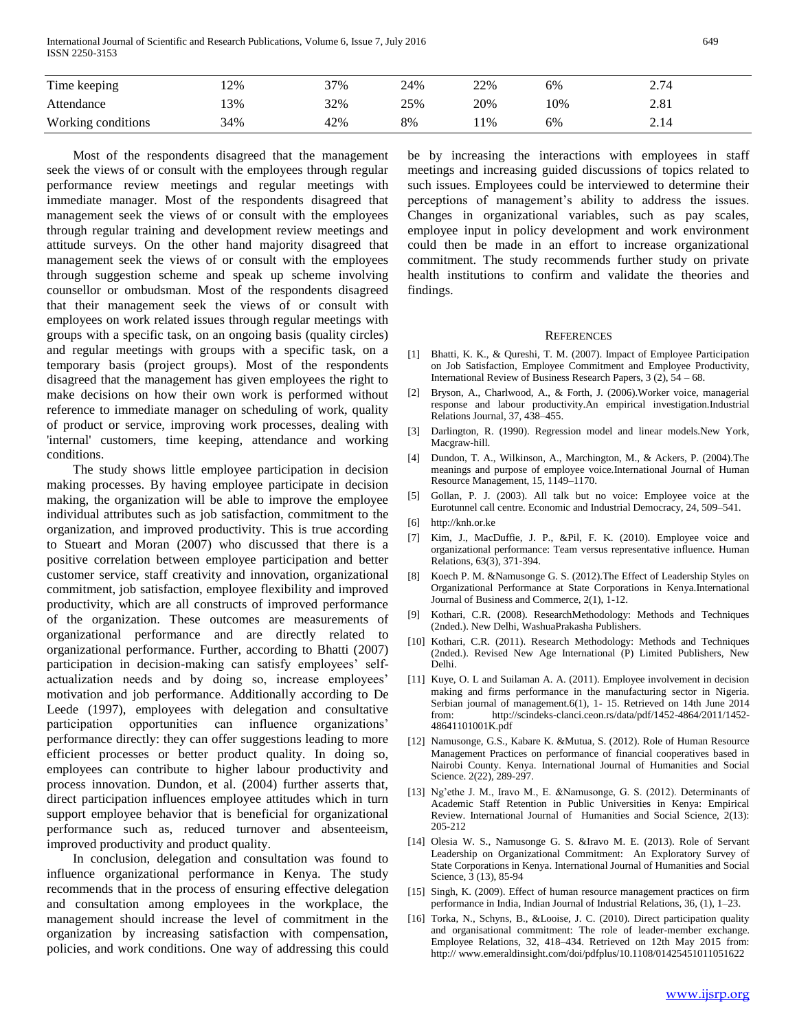International Journal of Scientific and Research Publications, Volume 6, Issue 7, July 2016 649 ISSN 2250-3153

| Time keeping       | 2%  | 37% | 24% | 22% | 6%  | 2.74 |  |
|--------------------|-----|-----|-----|-----|-----|------|--|
| Attendance         | 3%  | 32% | 25% | 20% | 10% | 2.81 |  |
| Working conditions | 34% | 42% | 8%  | 1%  | 6%  | 2.14 |  |

 Most of the respondents disagreed that the management seek the views of or consult with the employees through regular performance review meetings and regular meetings with immediate manager. Most of the respondents disagreed that management seek the views of or consult with the employees through regular training and development review meetings and attitude surveys. On the other hand majority disagreed that management seek the views of or consult with the employees through suggestion scheme and speak up scheme involving counsellor or ombudsman. Most of the respondents disagreed that their management seek the views of or consult with employees on work related issues through regular meetings with groups with a specific task, on an ongoing basis (quality circles) and regular meetings with groups with a specific task, on a temporary basis (project groups). Most of the respondents disagreed that the management has given employees the right to make decisions on how their own work is performed without reference to immediate manager on scheduling of work, quality of product or service, improving work processes, dealing with 'internal' customers, time keeping, attendance and working conditions.

 The study shows little employee participation in decision making processes. By having employee participate in decision making, the organization will be able to improve the employee individual attributes such as job satisfaction, commitment to the organization, and improved productivity. This is true according to Stueart and Moran (2007) who discussed that there is a positive correlation between employee participation and better customer service, staff creativity and innovation, organizational commitment, job satisfaction, employee flexibility and improved productivity, which are all constructs of improved performance of the organization. These outcomes are measurements of organizational performance and are directly related to organizational performance. Further, according to Bhatti (2007) participation in decision-making can satisfy employees' selfactualization needs and by doing so, increase employees' motivation and job performance. Additionally according to De Leede (1997), employees with delegation and consultative participation opportunities can influence organizations' performance directly: they can offer suggestions leading to more efficient processes or better product quality. In doing so, employees can contribute to higher labour productivity and process innovation. Dundon, et al. (2004) further asserts that, direct participation influences employee attitudes which in turn support employee behavior that is beneficial for organizational performance such as, reduced turnover and absenteeism, improved productivity and product quality.

 In conclusion, delegation and consultation was found to influence organizational performance in Kenya. The study recommends that in the process of ensuring effective delegation and consultation among employees in the workplace, the management should increase the level of commitment in the organization by increasing satisfaction with compensation, policies, and work conditions. One way of addressing this could be by increasing the interactions with employees in staff meetings and increasing guided discussions of topics related to such issues. Employees could be interviewed to determine their perceptions of management's ability to address the issues. Changes in organizational variables, such as pay scales, employee input in policy development and work environment could then be made in an effort to increase organizational commitment. The study recommends further study on private health institutions to confirm and validate the theories and findings.

#### **REFERENCES**

- [1] Bhatti, K. K., & Qureshi, T. M. (2007). Impact of Employee Participation on Job Satisfaction, Employee Commitment and Employee Productivity, International Review of Business Research Papers,  $3(2)$ ,  $54 - 68$ .
- [2] Bryson, A., Charlwood, A., & Forth, J. (2006).Worker voice, managerial response and labour productivity.An empirical investigation.Industrial Relations Journal, 37, 438–455.
- [3] Darlington, R. (1990). Regression model and linear models.New York, Macgraw-hill.
- [4] Dundon, T. A., Wilkinson, A., Marchington, M., & Ackers, P. (2004).The meanings and purpose of employee voice.International Journal of Human Resource Management, 15, 1149–1170.
- [5] Gollan, P. J. (2003). All talk but no voice: Employee voice at the Eurotunnel call centre. Economic and Industrial Democracy, 24, 509–541.

- [7] Kim, J., MacDuffie, J. P., &Pil, F. K. (2010). Employee voice and organizational performance: Team versus representative influence. Human Relations, 63(3), 371-394.
- [8] Koech P. M. &Namusonge G. S. (2012). The Effect of Leadership Styles on Organizational Performance at State Corporations in Kenya.International Journal of Business and Commerce, 2(1), 1-12.
- [9] Kothari, C.R. (2008). ResearchMethodology: Methods and Techniques (2nded.). New Delhi, WashuaPrakasha Publishers.
- [10] Kothari, C.R. (2011). Research Methodology: Methods and Techniques (2nded.). Revised New Age International (P) Limited Publishers, New Delhi.
- [11] Kuye, O. L and Suilaman A. A. (2011). Employee involvement in decision making and firms performance in the manufacturing sector in Nigeria. Serbian journal of management.6(1), 1- 15. Retrieved on 14th June 2014 from: http://scindeks-clanci.ceon.rs/data/pdf/1452-4864/2011/1452- 48641101001K.pdf
- [12] Namusonge, G.S., Kabare K. &Mutua, S. (2012). Role of Human Resource Management Practices on performance of financial cooperatives based in Nairobi County. Kenya. International Journal of Humanities and Social Science. 2(22), 289-297.
- [13] Ng'ethe J. M., Iravo M., E. &Namusonge, G. S. (2012). Determinants of Academic Staff Retention in Public Universities in Kenya: Empirical Review. International Journal of Humanities and Social Science, 2(13): 205-212
- [14] Olesia W. S., Namusonge G. S. &Iravo M. E. (2013). Role of Servant Leadership on Organizational Commitment: An Exploratory Survey of State Corporations in Kenya. International Journal of Humanities and Social Science, 3 (13), 85-94
- [15] Singh, K. (2009). Effect of human resource management practices on firm performance in India, Indian Journal of Industrial Relations, 36, (1), 1–23.
- [16] Torka, N., Schyns, B., &Looise, J. C. (2010). Direct participation quality and organisational commitment: The role of leader-member exchange. Employee Relations, 32, 418–434. Retrieved on 12th May 2015 from: http:// www.emeraldinsight.com/doi/pdfplus/10.1108/01425451011051622

<sup>[6]</sup> http://knh.or.ke